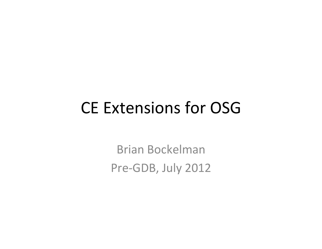#### CE Extensions for OSG

Brian Bockelman Pre-GDB, July 2012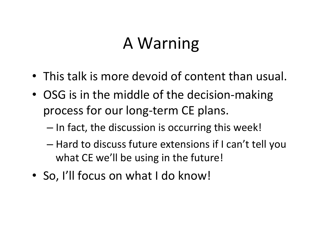# A Warning

- This talk is more devoid of content than usual.
- OSG is in the middle of the decision-making process for our long-term CE plans.
	- $-$  In fact, the discussion is occurring this week!
	- $-$  Hard to discuss future extensions if I can't tell you what CE we'll be using in the future!
- So, I'll focus on what I do know!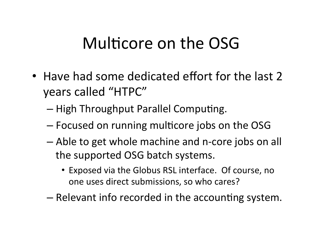### Multicore on the OSG

- Have had some dedicated effort for the last 2 years called "HTPC"
	- $-$  High Throughput Parallel Computing.
	- $-$  Focused on running multicore jobs on the OSG
	- $-$  Able to get whole machine and n-core jobs on all the supported OSG batch systems.
		- Exposed via the Globus RSL interface. Of course, no one uses direct submissions, so who cares?
	- $-$  Relevant info recorded in the accounting system.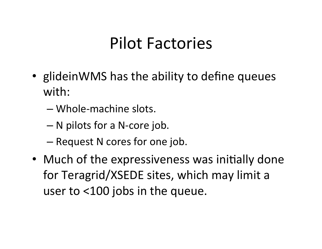### Pilot Factories

- glideinWMS has the ability to define queues with:
	- $-$  Whole-machine slots.
	- $-$  N pilots for a N-core job.
	- Request N cores for one job.
- Much of the expressiveness was initially done for Teragrid/XSEDE sites, which may limit a user to  $<$ 100 jobs in the queue.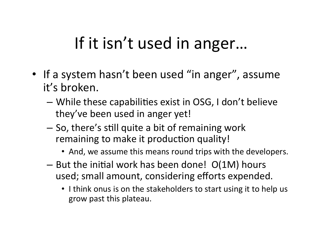# If it isn't used in anger...

- If a system hasn't been used "in anger", assume it's broken.
	- While these capabilities exist in OSG, I don't believe they've been used in anger yet!
	- $-$  So, there's still quite a bit of remaining work remaining to make it production quality!
		- And, we assume this means round trips with the developers.
	- $-$  But the initial work has been done!  $O(1M)$  hours used; small amount, considering efforts expended.
		- I think onus is on the stakeholders to start using it to help us grow past this plateau.